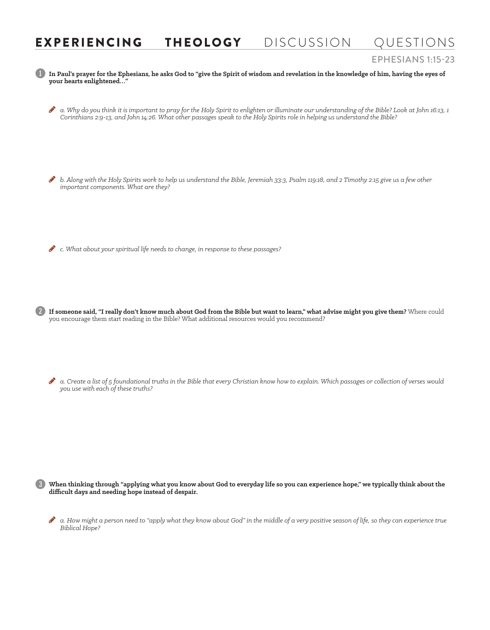## EXPERIENCING THEOLOGY DISCUSSION QUESTIONS

## EPHESIANS 1:15-23

1 **In Paul's prayer for the Ephesians, he asks God to "give the Spirit of wisdom and revelation in the knowledge of him, having the eyes of your hearts enlightened…"**

- H *a. Why do you think it is important to pray for the Holy Spirit to enlighten or illuminate our understanding of the Bible? Look at John 16:13, 1 Corinthians 2:9-13, and John 14:26. What other passages speak to the Holy Spirits role in helping us understand the Bible?*
- H *b. Along with the Holy Spirits work to help us understand the Bible, Jeremiah 33:3, Psalm 119:18, and 2 Timothy 2:15 give us a few other important components. What are they?*

H *c. What about your spiritual life needs to change, in response to these passages?*

2 **If someone said, "I really don't know much about God from the Bible but want to learn," what advise might you give them?** Where could you encourage them start reading in the Bible? What additional resources would you recommend?

 $\bullet$  a. Create a list of 5 foundational truths in the Bible that every Christian know how to explain. Which passages or collection of verses would *you use with each of these truths?*

3 **When thinking through "applying what you know about God to everyday life so you can experience hope," we typically think about the difficult days and needing hope instead of despair.**

a. How might a person need to "apply what they know about God" in the middle of a very positive season of life, so they can experience true *Biblical Hope?*